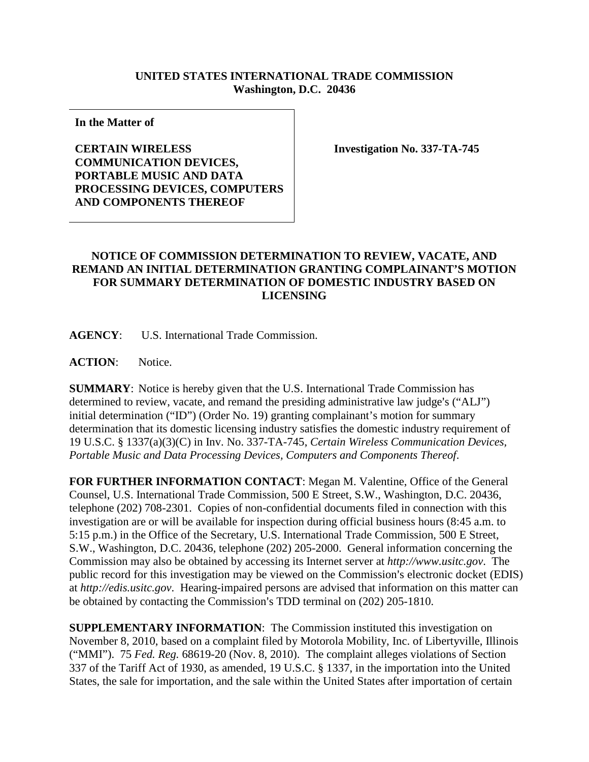## **UNITED STATES INTERNATIONAL TRADE COMMISSION Washington, D.C. 20436**

**In the Matter of** 

## **CERTAIN WIRELESS COMMUNICATION DEVICES, PORTABLE MUSIC AND DATA PROCESSING DEVICES, COMPUTERS AND COMPONENTS THEREOF**

**Investigation No. 337-TA-745**

## **NOTICE OF COMMISSION DETERMINATION TO REVIEW, VACATE, AND REMAND AN INITIAL DETERMINATION GRANTING COMPLAINANT'S MOTION FOR SUMMARY DETERMINATION OF DOMESTIC INDUSTRY BASED ON LICENSING**

**AGENCY**: U.S. International Trade Commission.

**ACTION**: Notice.

**SUMMARY**: Notice is hereby given that the U.S. International Trade Commission has determined to review, vacate, and remand the presiding administrative law judge's ("ALJ") initial determination ("ID") (Order No. 19) granting complainant's motion for summary determination that its domestic licensing industry satisfies the domestic industry requirement of 19 U.S.C. § 1337(a)(3)(C) in Inv. No. 337-TA-745, *Certain Wireless Communication Devices, Portable Music and Data Processing Devices, Computers and Components Thereof*.

**FOR FURTHER INFORMATION CONTACT**: Megan M. Valentine, Office of the General Counsel, U.S. International Trade Commission, 500 E Street, S.W., Washington, D.C. 20436, telephone (202) 708-2301. Copies of non-confidential documents filed in connection with this investigation are or will be available for inspection during official business hours (8:45 a.m. to 5:15 p.m.) in the Office of the Secretary, U.S. International Trade Commission, 500 E Street, S.W., Washington, D.C. 20436, telephone (202) 205-2000. General information concerning the Commission may also be obtained by accessing its Internet server at *http://www.usitc.gov*. The public record for this investigation may be viewed on the Commission's electronic docket (EDIS) at *http://edis.usitc.gov*. Hearing-impaired persons are advised that information on this matter can be obtained by contacting the Commission's TDD terminal on (202) 205-1810.

**SUPPLEMENTARY INFORMATION**: The Commission instituted this investigation on November 8, 2010, based on a complaint filed by Motorola Mobility, Inc. of Libertyville, Illinois ("MMI"). 75 *Fed. Reg.* 68619-20 (Nov. 8, 2010). The complaint alleges violations of Section 337 of the Tariff Act of 1930, as amended, 19 U.S.C. § 1337, in the importation into the United States, the sale for importation, and the sale within the United States after importation of certain